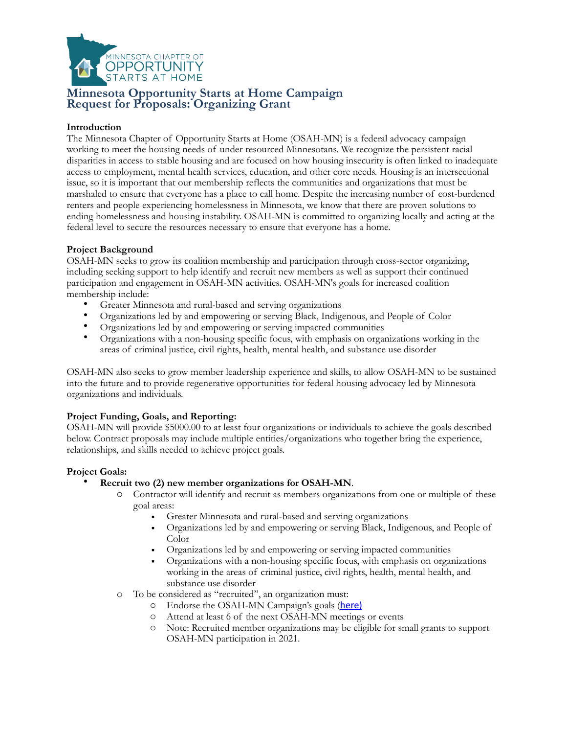

# **Minnesota Opportunity Starts at Home Campaign Request for Proposals: Organizing Grant**

## **Introduction**

The Minnesota Chapter of Opportunity Starts at Home (OSAH-MN) is a federal advocacy campaign working to meet the housing needs of under resourced Minnesotans. We recognize the persistent racial disparities in access to stable housing and are focused on how housing insecurity is often linked to inadequate access to employment, mental health services, education, and other core needs. Housing is an intersectional issue, so it is important that our membership reflects the communities and organizations that must be marshaled to ensure that everyone has a place to call home. Despite the increasing number of cost-burdened renters and people experiencing homelessness in Minnesota, we know that there are proven solutions to ending homelessness and housing instability. OSAH-MN is committed to organizing locally and acting at the federal level to secure the resources necessary to ensure that everyone has a home.

## **Project Background**

OSAH-MN seeks to grow its coalition membership and participation through cross-sector organizing, including seeking support to help identify and recruit new members as well as support their continued participation and engagement in OSAH-MN activities. OSAH-MN's goals for increased coalition membership include:

- Greater Minnesota and rural-based and serving organizations
- Organizations led by and empowering or serving Black, Indigenous, and People of Color
- Organizations led by and empowering or serving impacted communities
- Organizations with a non-housing specific focus, with emphasis on organizations working in the areas of criminal justice, civil rights, health, mental health, and substance use disorder

OSAH-MN also seeks to grow member leadership experience and skills, to allow OSAH-MN to be sustained into the future and to provide regenerative opportunities for federal housing advocacy led by Minnesota organizations and individuals.

## **Project Funding, Goals, and Reporting:**

OSAH-MN will provide \$5000.00 to at least four organizations or individuals to achieve the goals described below. Contract proposals may include multiple entities/organizations who together bring the experience, relationships, and skills needed to achieve project goals.

### **Project Goals:**

- **Recruit two (2) new member organizations for OSAH-MN**.
	- o Contractor will identify and recruit as members organizations from one or multiple of these goal areas:
		- ! Greater Minnesota and rural-based and serving organizations
		- ! Organizations led by and empowering or serving Black, Indigenous, and People of Color
		- ! Organizations led by and empowering or serving impacted communities
		- ! Organizations with a non-housing specific focus, with emphasis on organizations working in the areas of criminal justice, civil rights, health, mental health, and substance use disorder
	- o To be considered as "recruited", an organization must:
		- o Endorse the OSAH-MN Campaign's goals ([here\)](https://docs.google.com/forms/d/1Evt1iK6HequMD4RPc4JQ4EAXwX9Sk62SR1zKtOjM7p0/edit)
		- o Attend at least 6 of the next OSAH-MN meetings or events
		- o Note: Recruited member organizations may be eligible for small grants to support OSAH-MN participation in 2021.